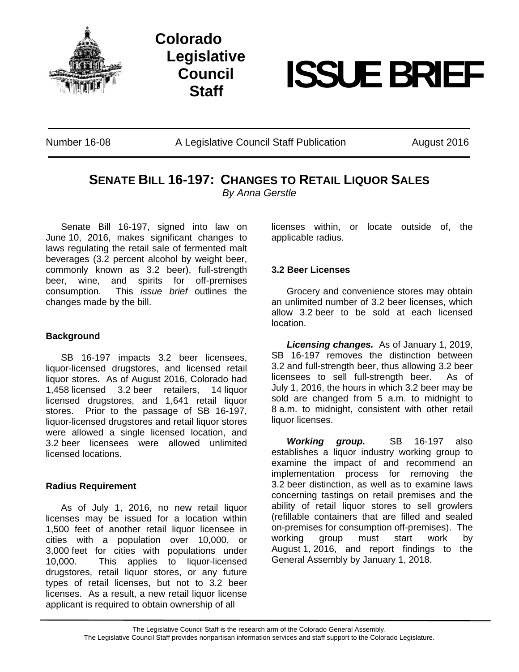

**Colorado Legislative Council** 



Number 16-08 A Legislative Council Staff Publication August 2016

# **SENATE BILL 16-197: CHANGES TO RETAIL LIQUOR SALES** *By Anna Gerstle*

Senate Bill 16-197, signed into law on June 10, 2016, makes significant changes to laws regulating the retail sale of fermented malt beverages (3.2 percent alcohol by weight beer, commonly known as 3.2 beer), full-strength beer, wine, and spirits for off-premises consumption. This *issue brief* outlines the changes made by the bill.

### **Background**

SB 16-197 impacts 3.2 beer licensees, liquor-licensed drugstores, and licensed retail liquor stores. As of August 2016, Colorado had 1,458 licensed 3.2 beer retailers, 14 liquor licensed drugstores, and 1,641 retail liquor stores. Prior to the passage of SB 16-197, liquor-licensed drugstores and retail liquor stores were allowed a single licensed location, and 3.2 beer licensees were allowed unlimited licensed locations.

#### **Radius Requirement**

As of July 1, 2016, no new retail liquor licenses may be issued for a location within 1,500 feet of another retail liquor licensee in cities with a population over 10,000, or 3,000 feet for cities with populations under 10,000. This applies to liquor-licensed drugstores, retail liquor stores, or any future types of retail licenses, but not to 3.2 beer licenses. As a result, a new retail liquor license applicant is required to obtain ownership of all

licenses within, or locate outside of, the applicable radius.

#### **3.2 Beer Licenses**

 Grocery and convenience stores may obtain an unlimited number of 3.2 beer licenses, which allow 3.2 beer to be sold at each licensed location.

 *Licensing changes.* As of January 1, 2019, SB 16-197 removes the distinction between 3.2 and full-strength beer, thus allowing 3.2 beer licensees to sell full-strength beer. As of July 1, 2016, the hours in which 3.2 beer may be sold are changed from 5 a.m. to midnight to 8 a.m. to midnight, consistent with other retail liquor licenses.

 *Working group.* SB 16-197 also establishes a liquor industry working group to examine the impact of and recommend an implementation process for removing the 3.2 beer distinction, as well as to examine laws concerning tastings on retail premises and the ability of retail liquor stores to sell growlers (refillable containers that are filled and sealed on-premises for consumption off-premises). The working group must start work by August 1, 2016, and report findings to the General Assembly by January 1, 2018.